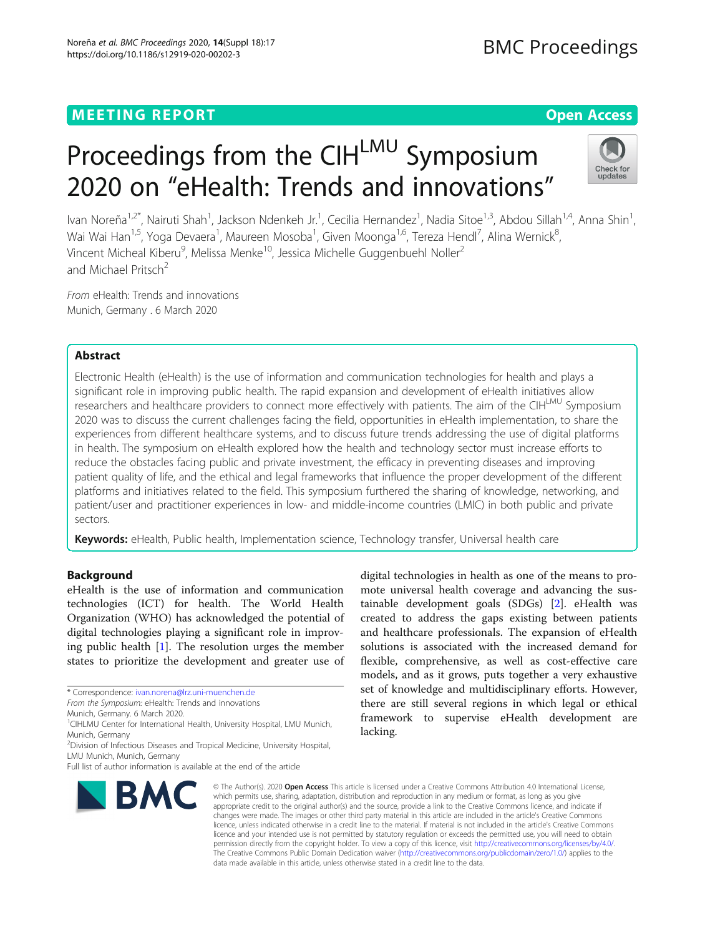# **MEETING REPORT CONTROL** CONTROL CONTROL CONTROL CONTROL CONTROL CONTROL CONTROL CONTROL CONTROL CONTROL CONTROL CONTROL CONTROL CONTROL CONTROL CONTROL CONTROL CONTROL CONTROL CONTROL CONTROL CONTROL CONTROL CONTROL CONTR

# Proceedings from the CIHLMU Symposium 2020 on "eHealth: Trends and innovations"



Ivan Noreña<sup>1,2\*</sup>, Nairuti Shah<sup>1</sup>, Jackson Ndenkeh Jr.<sup>1</sup>, Cecilia Hernandez<sup>1</sup>, Nadia Sitoe<sup>1,3</sup>, Abdou Sillah<sup>1,4</sup>, Anna Shin<sup>1</sup> , Wai Wai Han<sup>1,5</sup>, Yoga Devaera<sup>1</sup>, Maureen Mosoba<sup>1</sup>, Given Moonga<sup>1,6</sup>, Tereza Hendl<sup>7</sup>, Alina Wernick<sup>8</sup> , Vincent Micheal Kiberu<sup>9</sup>, Melissa Menke<sup>10</sup>, Jessica Michelle Guggenbuehl Noller<sup>2</sup> and Michael Pritsch<sup>2</sup>

From eHealth: Trends and innovations Munich, Germany . 6 March 2020

# Abstract

Electronic Health (eHealth) is the use of information and communication technologies for health and plays a significant role in improving public health. The rapid expansion and development of eHealth initiatives allow researchers and healthcare providers to connect more effectively with patients. The aim of the CIHLMU Symposium 2020 was to discuss the current challenges facing the field, opportunities in eHealth implementation, to share the experiences from different healthcare systems, and to discuss future trends addressing the use of digital platforms in health. The symposium on eHealth explored how the health and technology sector must increase efforts to reduce the obstacles facing public and private investment, the efficacy in preventing diseases and improving patient quality of life, and the ethical and legal frameworks that influence the proper development of the different platforms and initiatives related to the field. This symposium furthered the sharing of knowledge, networking, and patient/user and practitioner experiences in low- and middle-income countries (LMIC) in both public and private sectors.

Keywords: eHealth, Public health, Implementation science, Technology transfer, Universal health care

# Background

eHealth is the use of information and communication technologies (ICT) for health. The World Health Organization (WHO) has acknowledged the potential of digital technologies playing a significant role in improving public health [[1\]](#page-4-0). The resolution urges the member states to prioritize the development and greater use of

\* Correspondence: [ivan.norena@lrz.uni-muenchen.de](mailto:ivan.norena@lrz.uni-muenchen.de)

Munich, Germany. 6 March 2020.

<sup>1</sup>CIHLMU Center for International Health, University Hospital, LMU Munich, Munich, Germany

Full list of author information is available at the end of the article



digital technologies in health as one of the means to promote universal health coverage and advancing the sustainable development goals (SDGs) [[2](#page-4-0)]. eHealth was created to address the gaps existing between patients and healthcare professionals. The expansion of eHealth solutions is associated with the increased demand for flexible, comprehensive, as well as cost-effective care models, and as it grows, puts together a very exhaustive set of knowledge and multidisciplinary efforts. However, there are still several regions in which legal or ethical framework to supervise eHealth development are lacking.

© The Author(s), 2020 **Open Access** This article is licensed under a Creative Commons Attribution 4.0 International License, which permits use, sharing, adaptation, distribution and reproduction in any medium or format, as long as you give appropriate credit to the original author(s) and the source, provide a link to the Creative Commons licence, and indicate if changes were made. The images or other third party material in this article are included in the article's Creative Commons licence, unless indicated otherwise in a credit line to the material. If material is not included in the article's Creative Commons licence and your intended use is not permitted by statutory regulation or exceeds the permitted use, you will need to obtain permission directly from the copyright holder. To view a copy of this licence, visit [http://creativecommons.org/licenses/by/4.0/.](http://creativecommons.org/licenses/by/4.0/) The Creative Commons Public Domain Dedication waiver [\(http://creativecommons.org/publicdomain/zero/1.0/](http://creativecommons.org/publicdomain/zero/1.0/)) applies to the data made available in this article, unless otherwise stated in a credit line to the data.

From the Symposium: eHealth: Trends and innovations

<sup>2</sup> Division of Infectious Diseases and Tropical Medicine, University Hospital, LMU Munich, Munich, Germany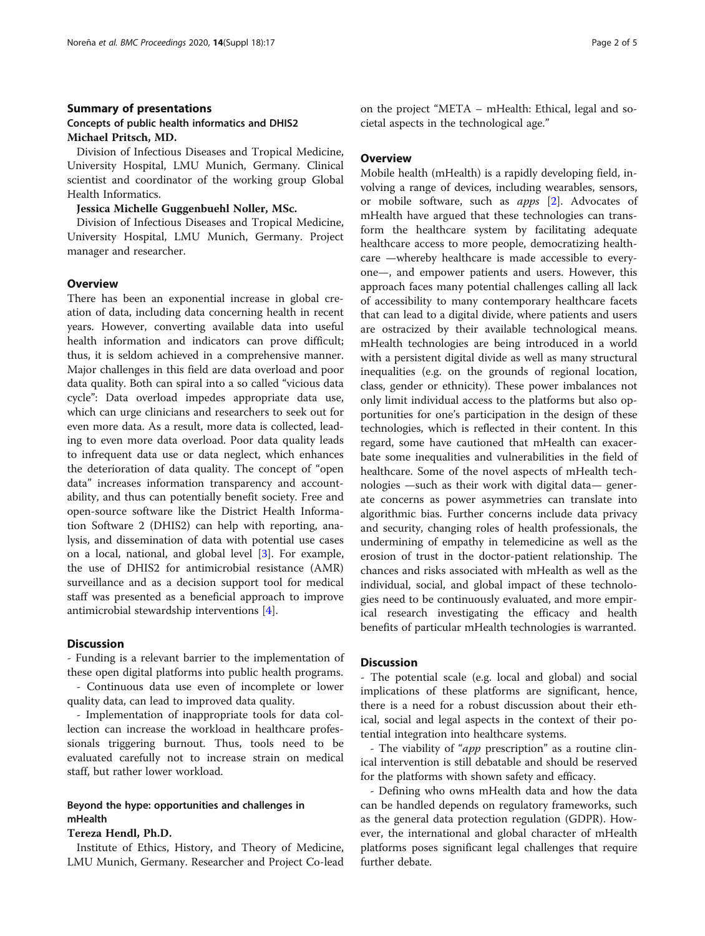# Summary of presentations Concepts of public health informatics and DHIS2 Michael Pritsch, MD.

Division of Infectious Diseases and Tropical Medicine, University Hospital, LMU Munich, Germany. Clinical scientist and coordinator of the working group Global Health Informatics.

#### Jessica Michelle Guggenbuehl Noller, MSc.

Division of Infectious Diseases and Tropical Medicine, University Hospital, LMU Munich, Germany. Project manager and researcher.

#### **Overview**

There has been an exponential increase in global creation of data, including data concerning health in recent years. However, converting available data into useful health information and indicators can prove difficult; thus, it is seldom achieved in a comprehensive manner. Major challenges in this field are data overload and poor data quality. Both can spiral into a so called "vicious data cycle": Data overload impedes appropriate data use, which can urge clinicians and researchers to seek out for even more data. As a result, more data is collected, leading to even more data overload. Poor data quality leads to infrequent data use or data neglect, which enhances the deterioration of data quality. The concept of "open data" increases information transparency and accountability, and thus can potentially benefit society. Free and open-source software like the District Health Information Software 2 (DHIS2) can help with reporting, analysis, and dissemination of data with potential use cases on a local, national, and global level [\[3](#page-4-0)]. For example, the use of DHIS2 for antimicrobial resistance (AMR) surveillance and as a decision support tool for medical staff was presented as a beneficial approach to improve antimicrobial stewardship interventions [[4\]](#page-4-0).

#### Discussion

- Funding is a relevant barrier to the implementation of these open digital platforms into public health programs.

- Continuous data use even of incomplete or lower quality data, can lead to improved data quality.

- Implementation of inappropriate tools for data collection can increase the workload in healthcare professionals triggering burnout. Thus, tools need to be evaluated carefully not to increase strain on medical staff, but rather lower workload.

# Beyond the hype: opportunities and challenges in mHealth

### Tereza Hendl, Ph.D.

Institute of Ethics, History, and Theory of Medicine, LMU Munich, Germany. Researcher and Project Co-lead on the project "META – mHealth: Ethical, legal and societal aspects in the technological age."

#### **Overview**

Mobile health (mHealth) is a rapidly developing field, involving a range of devices, including wearables, sensors, or mobile software, such as apps [[2](#page-4-0)]. Advocates of mHealth have argued that these technologies can transform the healthcare system by facilitating adequate healthcare access to more people, democratizing healthcare —whereby healthcare is made accessible to everyone—, and empower patients and users. However, this approach faces many potential challenges calling all lack of accessibility to many contemporary healthcare facets that can lead to a digital divide, where patients and users are ostracized by their available technological means. mHealth technologies are being introduced in a world with a persistent digital divide as well as many structural inequalities (e.g. on the grounds of regional location, class, gender or ethnicity). These power imbalances not only limit individual access to the platforms but also opportunities for one's participation in the design of these technologies, which is reflected in their content. In this regard, some have cautioned that mHealth can exacerbate some inequalities and vulnerabilities in the field of healthcare. Some of the novel aspects of mHealth technologies —such as their work with digital data— generate concerns as power asymmetries can translate into algorithmic bias. Further concerns include data privacy and security, changing roles of health professionals, the undermining of empathy in telemedicine as well as the erosion of trust in the doctor-patient relationship. The chances and risks associated with mHealth as well as the individual, social, and global impact of these technologies need to be continuously evaluated, and more empirical research investigating the efficacy and health benefits of particular mHealth technologies is warranted.

#### **Discussion**

- The potential scale (e.g. local and global) and social implications of these platforms are significant, hence, there is a need for a robust discussion about their ethical, social and legal aspects in the context of their potential integration into healthcare systems.

- The viability of "app prescription" as a routine clinical intervention is still debatable and should be reserved for the platforms with shown safety and efficacy.

- Defining who owns mHealth data and how the data can be handled depends on regulatory frameworks, such as the general data protection regulation (GDPR). However, the international and global character of mHealth platforms poses significant legal challenges that require further debate.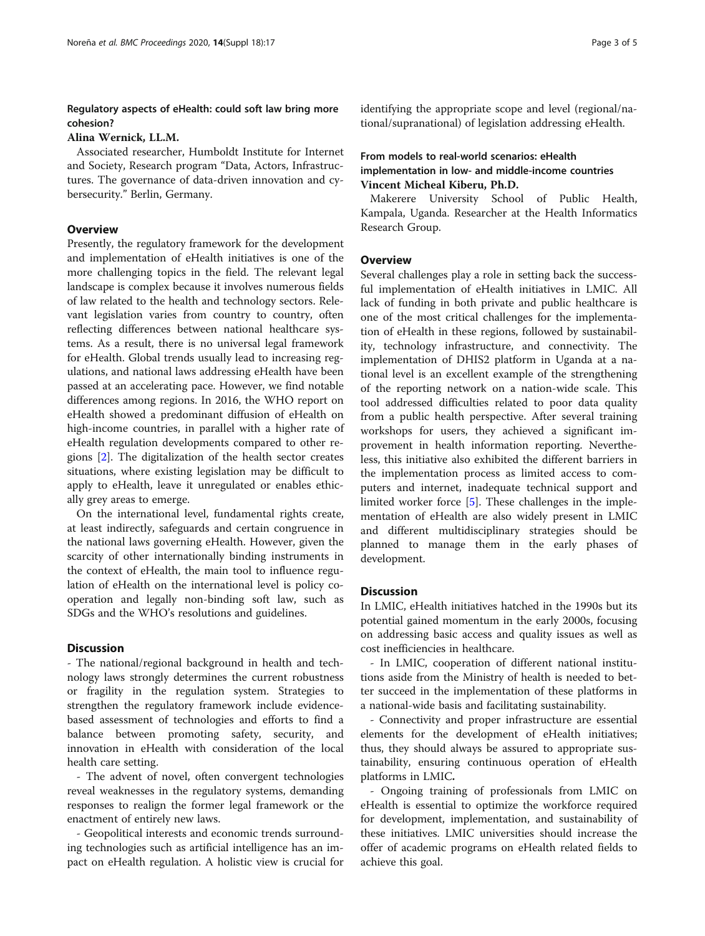# Regulatory aspects of eHealth: could soft law bring more cohesion?

### Alina Wernick, LL.M.

Associated researcher, Humboldt Institute for Internet and Society, Research program "Data, Actors, Infrastructures. The governance of data-driven innovation and cybersecurity." Berlin, Germany.

#### **Overview**

Presently, the regulatory framework for the development and implementation of eHealth initiatives is one of the more challenging topics in the field. The relevant legal landscape is complex because it involves numerous fields of law related to the health and technology sectors. Relevant legislation varies from country to country, often reflecting differences between national healthcare systems. As a result, there is no universal legal framework for eHealth. Global trends usually lead to increasing regulations, and national laws addressing eHealth have been passed at an accelerating pace. However, we find notable differences among regions. In 2016, the WHO report on eHealth showed a predominant diffusion of eHealth on high-income countries, in parallel with a higher rate of eHealth regulation developments compared to other regions [\[2](#page-4-0)]. The digitalization of the health sector creates situations, where existing legislation may be difficult to apply to eHealth, leave it unregulated or enables ethically grey areas to emerge.

On the international level, fundamental rights create, at least indirectly, safeguards and certain congruence in the national laws governing eHealth. However, given the scarcity of other internationally binding instruments in the context of eHealth, the main tool to influence regulation of eHealth on the international level is policy cooperation and legally non-binding soft law, such as SDGs and the WHO's resolutions and guidelines.

# **Discussion**

- The national/regional background in health and technology laws strongly determines the current robustness or fragility in the regulation system. Strategies to strengthen the regulatory framework include evidencebased assessment of technologies and efforts to find a balance between promoting safety, security, and innovation in eHealth with consideration of the local health care setting.

- The advent of novel, often convergent technologies reveal weaknesses in the regulatory systems, demanding responses to realign the former legal framework or the enactment of entirely new laws.

- Geopolitical interests and economic trends surrounding technologies such as artificial intelligence has an impact on eHealth regulation. A holistic view is crucial for identifying the appropriate scope and level (regional/national/supranational) of legislation addressing eHealth.

# From models to real-world scenarios: eHealth implementation in low- and middle-income countries Vincent Micheal Kiberu, Ph.D.

Makerere University School of Public Health, Kampala, Uganda. Researcher at the Health Informatics Research Group.

#### **Overview**

Several challenges play a role in setting back the successful implementation of eHealth initiatives in LMIC. All lack of funding in both private and public healthcare is one of the most critical challenges for the implementation of eHealth in these regions, followed by sustainability, technology infrastructure, and connectivity. The implementation of DHIS2 platform in Uganda at a national level is an excellent example of the strengthening of the reporting network on a nation-wide scale. This tool addressed difficulties related to poor data quality from a public health perspective. After several training workshops for users, they achieved a significant improvement in health information reporting. Nevertheless, this initiative also exhibited the different barriers in the implementation process as limited access to computers and internet, inadequate technical support and limited worker force [[5](#page-4-0)]. These challenges in the implementation of eHealth are also widely present in LMIC and different multidisciplinary strategies should be planned to manage them in the early phases of development.

### **Discussion**

In LMIC, eHealth initiatives hatched in the 1990s but its potential gained momentum in the early 2000s, focusing on addressing basic access and quality issues as well as cost inefficiencies in healthcare.

- In LMIC, cooperation of different national institutions aside from the Ministry of health is needed to better succeed in the implementation of these platforms in a national-wide basis and facilitating sustainability.

- Connectivity and proper infrastructure are essential elements for the development of eHealth initiatives; thus, they should always be assured to appropriate sustainability, ensuring continuous operation of eHealth platforms in LMIC.

- Ongoing training of professionals from LMIC on eHealth is essential to optimize the workforce required for development, implementation, and sustainability of these initiatives. LMIC universities should increase the offer of academic programs on eHealth related fields to achieve this goal.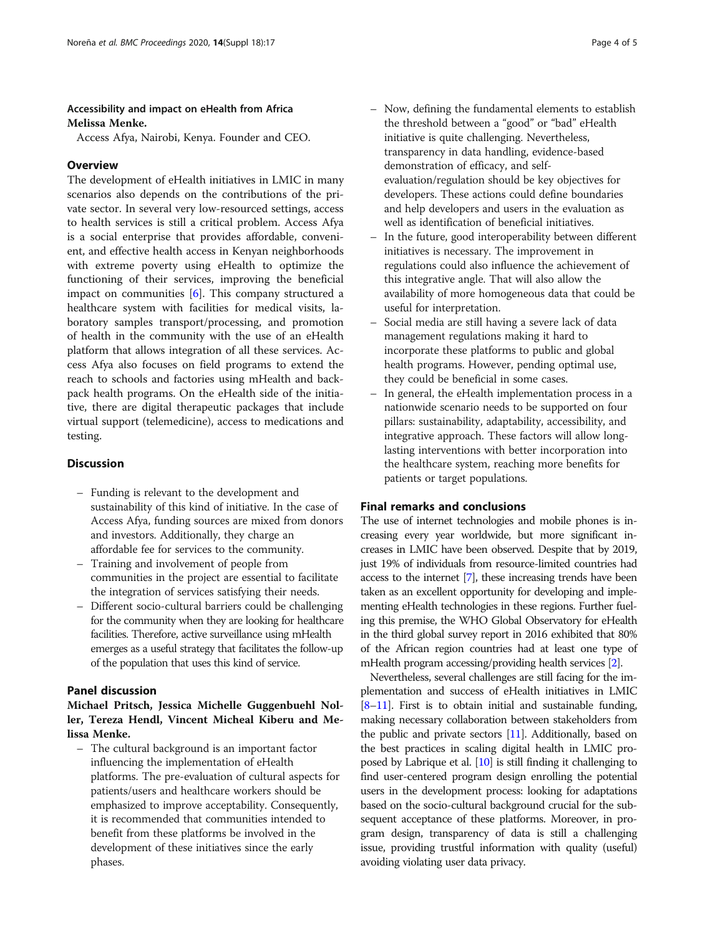# Accessibility and impact on eHealth from Africa Melissa Menke.

Access Afya, Nairobi, Kenya. Founder and CEO.

# **Overview**

The development of eHealth initiatives in LMIC in many scenarios also depends on the contributions of the private sector. In several very low-resourced settings, access to health services is still a critical problem. Access Afya is a social enterprise that provides affordable, convenient, and effective health access in Kenyan neighborhoods with extreme poverty using eHealth to optimize the functioning of their services, improving the beneficial impact on communities [[6\]](#page-4-0). This company structured a healthcare system with facilities for medical visits, laboratory samples transport/processing, and promotion of health in the community with the use of an eHealth platform that allows integration of all these services. Access Afya also focuses on field programs to extend the reach to schools and factories using mHealth and backpack health programs. On the eHealth side of the initiative, there are digital therapeutic packages that include virtual support (telemedicine), access to medications and testing.

# **Discussion**

- Funding is relevant to the development and sustainability of this kind of initiative. In the case of Access Afya, funding sources are mixed from donors and investors. Additionally, they charge an affordable fee for services to the community.
- Training and involvement of people from communities in the project are essential to facilitate the integration of services satisfying their needs.
- Different socio-cultural barriers could be challenging for the community when they are looking for healthcare facilities. Therefore, active surveillance using mHealth emerges as a useful strategy that facilitates the follow-up of the population that uses this kind of service.

# Panel discussion

# Michael Pritsch, Jessica Michelle Guggenbuehl Noller, Tereza Hendl, Vincent Micheal Kiberu and Melissa Menke.

– The cultural background is an important factor influencing the implementation of eHealth platforms. The pre-evaluation of cultural aspects for patients/users and healthcare workers should be emphasized to improve acceptability. Consequently, it is recommended that communities intended to benefit from these platforms be involved in the development of these initiatives since the early phases.

- Now, defining the fundamental elements to establish the threshold between a "good" or "bad" eHealth initiative is quite challenging. Nevertheless, transparency in data handling, evidence-based demonstration of efficacy, and selfevaluation/regulation should be key objectives for developers. These actions could define boundaries and help developers and users in the evaluation as well as identification of beneficial initiatives.
- In the future, good interoperability between different initiatives is necessary. The improvement in regulations could also influence the achievement of this integrative angle. That will also allow the availability of more homogeneous data that could be useful for interpretation.
- Social media are still having a severe lack of data management regulations making it hard to incorporate these platforms to public and global health programs. However, pending optimal use, they could be beneficial in some cases.
- In general, the eHealth implementation process in a nationwide scenario needs to be supported on four pillars: sustainability, adaptability, accessibility, and integrative approach. These factors will allow longlasting interventions with better incorporation into the healthcare system, reaching more benefits for patients or target populations.

# Final remarks and conclusions

The use of internet technologies and mobile phones is increasing every year worldwide, but more significant increases in LMIC have been observed. Despite that by 2019, just 19% of individuals from resource-limited countries had access to the internet [\[7\]](#page-4-0), these increasing trends have been taken as an excellent opportunity for developing and implementing eHealth technologies in these regions. Further fueling this premise, the WHO Global Observatory for eHealth in the third global survey report in 2016 exhibited that 80% of the African region countries had at least one type of mHealth program accessing/providing health services [[2](#page-4-0)].

Nevertheless, several challenges are still facing for the implementation and success of eHealth initiatives in LMIC [[8](#page-4-0)–[11\]](#page-4-0). First is to obtain initial and sustainable funding, making necessary collaboration between stakeholders from the public and private sectors [\[11](#page-4-0)]. Additionally, based on the best practices in scaling digital health in LMIC proposed by Labrique et al. [\[10\]](#page-4-0) is still finding it challenging to find user-centered program design enrolling the potential users in the development process: looking for adaptations based on the socio-cultural background crucial for the subsequent acceptance of these platforms. Moreover, in program design, transparency of data is still a challenging issue, providing trustful information with quality (useful) avoiding violating user data privacy.